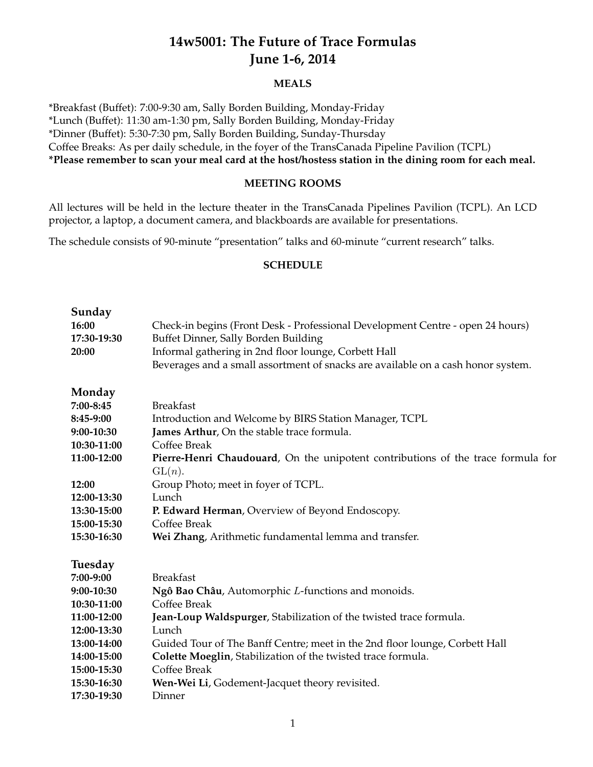# **14w5001: The Future of Trace Formulas June 1-6, 2014**

### **MEALS**

\*Breakfast (Buffet): 7:00-9:30 am, Sally Borden Building, Monday-Friday \*Lunch (Buffet): 11:30 am-1:30 pm, Sally Borden Building, Monday-Friday \*Dinner (Buffet): 5:30-7:30 pm, Sally Borden Building, Sunday-Thursday Coffee Breaks: As per daily schedule, in the foyer of the TransCanada Pipeline Pavilion (TCPL) **\*Please remember to scan your meal card at the host/hostess station in the dining room for each meal.**

### **MEETING ROOMS**

All lectures will be held in the lecture theater in the TransCanada Pipelines Pavilion (TCPL). An LCD projector, a laptop, a document camera, and blackboards are available for presentations.

The schedule consists of 90-minute "presentation" talks and 60-minute "current research" talks.

#### **SCHEDULE**

| Sunday<br>16:00<br>17:30-19:30<br>20:00 | Check-in begins (Front Desk - Professional Development Centre - open 24 hours)<br>Buffet Dinner, Sally Borden Building<br>Informal gathering in 2nd floor lounge, Corbett Hall<br>Beverages and a small assortment of snacks are available on a cash honor system. |
|-----------------------------------------|--------------------------------------------------------------------------------------------------------------------------------------------------------------------------------------------------------------------------------------------------------------------|
| Monday                                  |                                                                                                                                                                                                                                                                    |
| 7:00-8:45                               | <b>Breakfast</b>                                                                                                                                                                                                                                                   |
| 8:45-9:00                               | Introduction and Welcome by BIRS Station Manager, TCPL                                                                                                                                                                                                             |
| 9:00-10:30                              | James Arthur, On the stable trace formula.                                                                                                                                                                                                                         |
| 10:30-11:00                             | Coffee Break                                                                                                                                                                                                                                                       |
| 11:00-12:00                             | Pierre-Henri Chaudouard, On the unipotent contributions of the trace formula for                                                                                                                                                                                   |
|                                         | GL(n).                                                                                                                                                                                                                                                             |
| 12:00                                   | Group Photo; meet in foyer of TCPL.                                                                                                                                                                                                                                |
| 12:00-13:30                             | Lunch                                                                                                                                                                                                                                                              |
| 13:30-15:00                             | P. Edward Herman, Overview of Beyond Endoscopy.                                                                                                                                                                                                                    |
| 15:00-15:30                             | Coffee Break                                                                                                                                                                                                                                                       |
| 15:30-16:30                             | Wei Zhang, Arithmetic fundamental lemma and transfer.                                                                                                                                                                                                              |
| Tuesday                                 |                                                                                                                                                                                                                                                                    |
| 7:00-9:00                               | <b>Breakfast</b>                                                                                                                                                                                                                                                   |
| 9:00-10:30                              | Ngô Bao Châu, Automorphic L-functions and monoids.                                                                                                                                                                                                                 |
| 10:30-11:00                             | Coffee Break                                                                                                                                                                                                                                                       |
| 11:00-12:00                             | Jean-Loup Waldspurger, Stabilization of the twisted trace formula.                                                                                                                                                                                                 |
| 12:00-13:30                             | Lunch                                                                                                                                                                                                                                                              |
| 13:00-14:00                             | Guided Tour of The Banff Centre; meet in the 2nd floor lounge, Corbett Hall                                                                                                                                                                                        |
| 14:00-15:00                             | Colette Moeglin, Stabilization of the twisted trace formula.                                                                                                                                                                                                       |
| 15:00-15:30                             | Coffee Break                                                                                                                                                                                                                                                       |
| 15:30-16:30                             | Wen-Wei Li, Godement-Jacquet theory revisited.                                                                                                                                                                                                                     |
| 17:30-19:30                             | Dinner                                                                                                                                                                                                                                                             |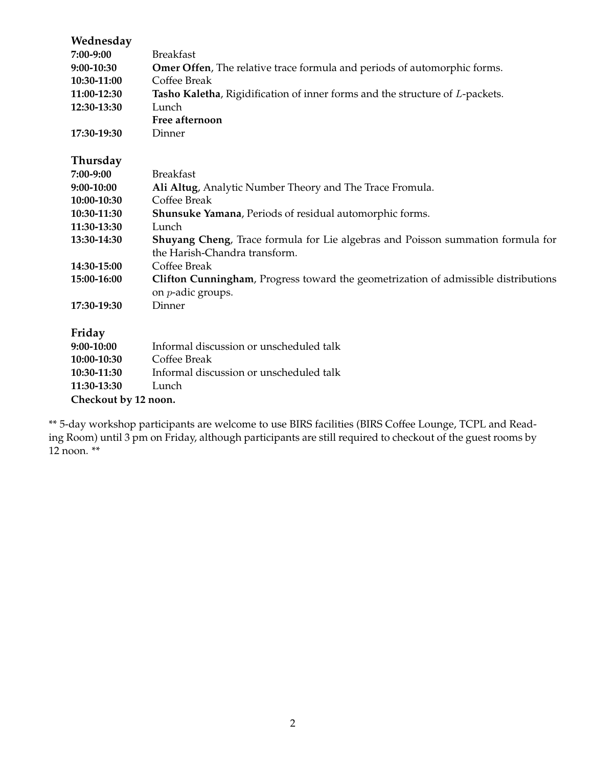| Wednesday            |                                                                                                                  |  |
|----------------------|------------------------------------------------------------------------------------------------------------------|--|
| 7:00-9:00            | <b>Breakfast</b>                                                                                                 |  |
| 9:00-10:30           | Omer Offen, The relative trace formula and periods of automorphic forms.                                         |  |
| 10:30-11:00          | Coffee Break                                                                                                     |  |
| 11:00-12:30          | Tasho Kaletha, Rigidification of inner forms and the structure of L-packets.                                     |  |
| 12:30-13:30          | Lunch                                                                                                            |  |
|                      | Free afternoon                                                                                                   |  |
| 17:30-19:30          | Dinner                                                                                                           |  |
| Thursday             |                                                                                                                  |  |
| 7:00-9:00            | <b>Breakfast</b>                                                                                                 |  |
| 9:00-10:00           | Ali Altug, Analytic Number Theory and The Trace Fromula.                                                         |  |
| 10:00-10:30          | Coffee Break                                                                                                     |  |
| 10:30-11:30          | Shunsuke Yamana, Periods of residual automorphic forms.                                                          |  |
| 11:30-13:30          | Lunch                                                                                                            |  |
| 13:30-14:30          | Shuyang Cheng, Trace formula for Lie algebras and Poisson summation formula for<br>the Harish-Chandra transform. |  |
| 14:30-15:00          | Coffee Break                                                                                                     |  |
| 15:00-16:00          | Clifton Cunningham, Progress toward the geometrization of admissible distributions                               |  |
|                      | on <i>p</i> -adic groups.                                                                                        |  |
| 17:30-19:30          | Dinner                                                                                                           |  |
| Friday               |                                                                                                                  |  |
| 9:00-10:00           | Informal discussion or unscheduled talk                                                                          |  |
| 10:00-10:30          | Coffee Break                                                                                                     |  |
| 10:30-11:30          | Informal discussion or unscheduled talk                                                                          |  |
| 11:30-13:30          | Lunch                                                                                                            |  |
| Checkout by 12 noon. |                                                                                                                  |  |
|                      |                                                                                                                  |  |

\*\* 5-day workshop participants are welcome to use BIRS facilities (BIRS Coffee Lounge, TCPL and Reading Room) until 3 pm on Friday, although participants are still required to checkout of the guest rooms by  $12 \text{ noon.}$ \*\*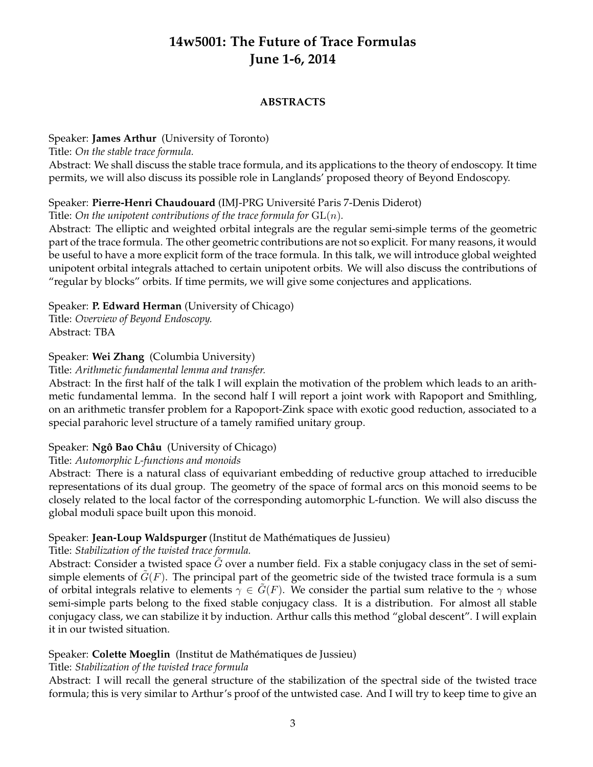# **14w5001: The Future of Trace Formulas June 1-6, 2014**

### **ABSTRACTS**

### Speaker: **James Arthur** (University of Toronto)

Title: *On the stable trace formula.*

Abstract: We shall discuss the stable trace formula, and its applications to the theory of endoscopy. It time permits, we will also discuss its possible role in Langlands' proposed theory of Beyond Endoscopy.

# Speaker: **Pierre-Henri Chaudouard** (IMJ-PRG Universite Paris 7-Denis Diderot) ´

Title: On the unipotent contributions of the trace formula for  $GL(n)$ .

Abstract: The elliptic and weighted orbital integrals are the regular semi-simple terms of the geometric part of the trace formula. The other geometric contributions are not so explicit. For many reasons, it would be useful to have a more explicit form of the trace formula. In this talk, we will introduce global weighted unipotent orbital integrals attached to certain unipotent orbits. We will also discuss the contributions of "regular by blocks" orbits. If time permits, we will give some conjectures and applications.

# Speaker: **P. Edward Herman** (University of Chicago)

Title: *Overview of Beyond Endoscopy.* Abstract: TBA

# Speaker: **Wei Zhang** (Columbia University)

### Title: *Arithmetic fundamental lemma and transfer.*

Abstract: In the first half of the talk I will explain the motivation of the problem which leads to an arithmetic fundamental lemma. In the second half I will report a joint work with Rapoport and Smithling, on an arithmetic transfer problem for a Rapoport-Zink space with exotic good reduction, associated to a special parahoric level structure of a tamely ramified unitary group.

# Speaker: Ngô Bao Châu (University of Chicago)

Title: *Automorphic L-functions and monoids*

Abstract: There is a natural class of equivariant embedding of reductive group attached to irreducible representations of its dual group. The geometry of the space of formal arcs on this monoid seems to be closely related to the local factor of the corresponding automorphic L-function. We will also discuss the global moduli space built upon this monoid.

# Speaker: Jean-Loup Waldspurger (Institut de Mathématiques de Jussieu)

Title: *Stabilization of the twisted trace formula.*

Abstract: Consider a twisted space *G* over a number field. Fix a stable conjugacy class in the set of semisimple elements of  $G(F)$ . The principal part of the geometric side of the twisted trace formula is a sum of orbital integrals relative to elements  $\gamma \in G(F)$ . We consider the partial sum relative to the  $\gamma$  whose semi-simple parts belong to the fixed stable conjugacy class. It is a distribution. For almost all stable conjugacy class, we can stabilize it by induction. Arthur calls this method "global descent". I will explain it in our twisted situation.

# Speaker: Colette Moeglin (Institut de Mathématiques de Jussieu)

# Title: *Stabilization of the twisted trace formula*

Abstract: I will recall the general structure of the stabilization of the spectral side of the twisted trace formula; this is very similar to Arthur's proof of the untwisted case. And I will try to keep time to give an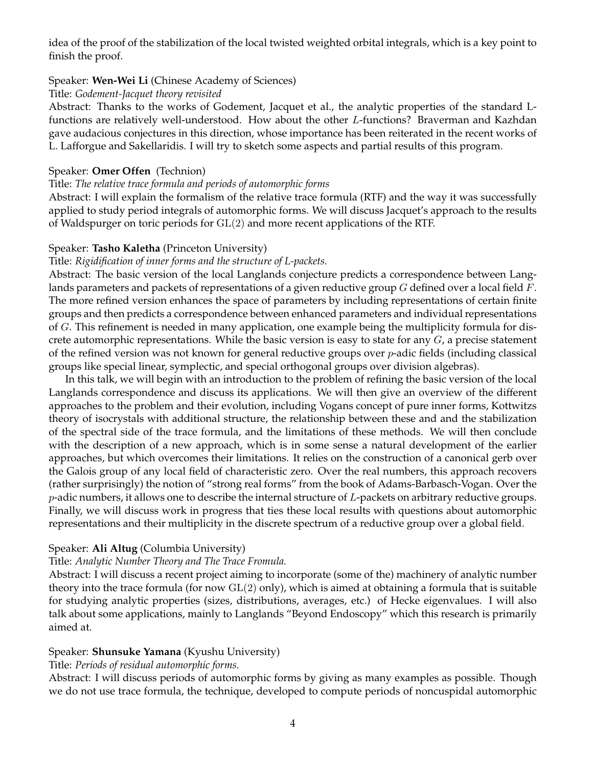idea of the proof of the stabilization of the local twisted weighted orbital integrals, which is a key point to finish the proof.

#### Speaker: **Wen-Wei Li** (Chinese Academy of Sciences)

#### Title: *Godement-Jacquet theory revisited*

Abstract: Thanks to the works of Godement, Jacquet et al., the analytic properties of the standard Lfunctions are relatively well-understood. How about the other *L*-functions? Braverman and Kazhdan gave audacious conjectures in this direction, whose importance has been reiterated in the recent works of L. Lafforgue and Sakellaridis. I will try to sketch some aspects and partial results of this program.

### Speaker: **Omer Offen** (Technion)

#### Title: *The relative trace formula and periods of automorphic forms*

Abstract: I will explain the formalism of the relative trace formula (RTF) and the way it was successfully applied to study period integrals of automorphic forms. We will discuss Jacquet's approach to the results of Waldspurger on toric periods for GL(2) and more recent applications of the RTF.

#### Speaker: **Tasho Kaletha** (Princeton University)

#### Title: *Rigidification of inner forms and the structure of L-packets.*

Abstract: The basic version of the local Langlands conjecture predicts a correspondence between Langlands parameters and packets of representations of a given reductive group *G* defined over a local field *F*. The more refined version enhances the space of parameters by including representations of certain finite groups and then predicts a correspondence between enhanced parameters and individual representations of *G*. This refinement is needed in many application, one example being the multiplicity formula for discrete automorphic representations. While the basic version is easy to state for any *G*, a precise statement of the refined version was not known for general reductive groups over *p*-adic fields (including classical groups like special linear, symplectic, and special orthogonal groups over division algebras).

In this talk, we will begin with an introduction to the problem of refining the basic version of the local Langlands correspondence and discuss its applications. We will then give an overview of the different approaches to the problem and their evolution, including Vogans concept of pure inner forms, Kottwitzs theory of isocrystals with additional structure, the relationship between these and and the stabilization of the spectral side of the trace formula, and the limitations of these methods. We will then conclude with the description of a new approach, which is in some sense a natural development of the earlier approaches, but which overcomes their limitations. It relies on the construction of a canonical gerb over the Galois group of any local field of characteristic zero. Over the real numbers, this approach recovers (rather surprisingly) the notion of "strong real forms" from the book of Adams-Barbasch-Vogan. Over the *p*-adic numbers, it allows one to describe the internal structure of *L*-packets on arbitrary reductive groups. Finally, we will discuss work in progress that ties these local results with questions about automorphic representations and their multiplicity in the discrete spectrum of a reductive group over a global field.

#### Speaker: **Ali Altug** (Columbia University)

#### Title: *Analytic Number Theory and The Trace Fromula.*

Abstract: I will discuss a recent project aiming to incorporate (some of the) machinery of analytic number theory into the trace formula (for now  $GL(2)$  only), which is aimed at obtaining a formula that is suitable for studying analytic properties (sizes, distributions, averages, etc.) of Hecke eigenvalues. I will also talk about some applications, mainly to Langlands "Beyond Endoscopy" which this research is primarily aimed at.

#### Speaker: **Shunsuke Yamana** (Kyushu University)

#### Title: *Periods of residual automorphic forms.*

Abstract: I will discuss periods of automorphic forms by giving as many examples as possible. Though we do not use trace formula, the technique, developed to compute periods of noncuspidal automorphic